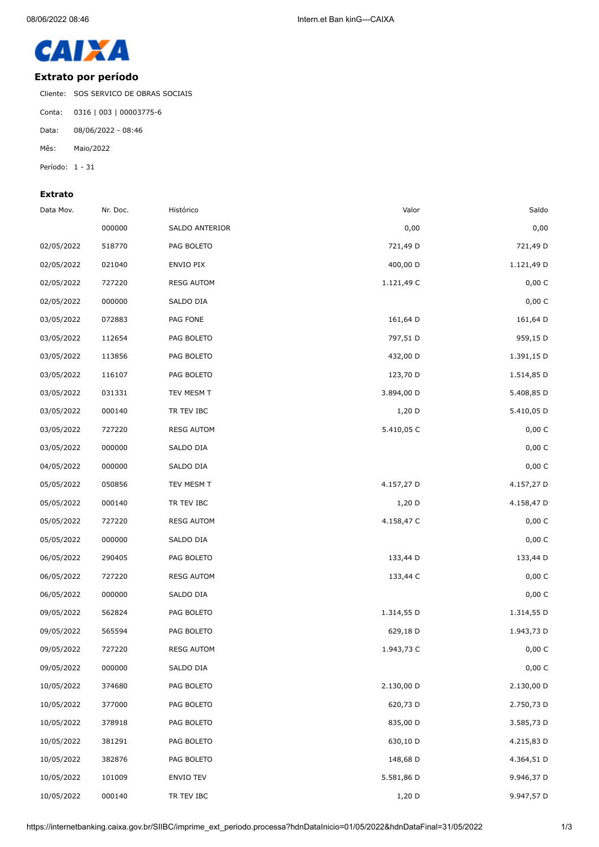

## **Extrato por período**

Cliente: SOS SERVICO DE OBRAS SOCIAIS

Conta: 0316 | 003 | 00003775-6

Data: 08/06/2022 - 08:46

Mês: Maio/2022

Período: 1 - 31

## **Extrato**

| Data Mov.  | Nr. Doc. | Histórico         | Valor      | Saldo      |
|------------|----------|-------------------|------------|------------|
|            | 000000   | SALDO ANTERIOR    | 0,00       | 0,00       |
| 02/05/2022 | 518770   | PAG BOLETO        | 721,49 D   | 721,49 D   |
| 02/05/2022 | 021040   | ENVIO PIX         | 400,00 D   | 1.121,49 D |
| 02/05/2022 | 727220   | <b>RESG AUTOM</b> | 1.121,49 C | 0,00 C     |
| 02/05/2022 | 000000   | SALDO DIA         |            | 0,00 C     |
| 03/05/2022 | 072883   | PAG FONE          | 161,64 D   | 161,64 D   |
| 03/05/2022 | 112654   | PAG BOLETO        | 797,51 D   | 959,15 D   |
| 03/05/2022 | 113856   | PAG BOLETO        | 432,00 D   | 1.391,15 D |
| 03/05/2022 | 116107   | PAG BOLETO        | 123,70 D   | 1.514,85 D |
| 03/05/2022 | 031331   | TEV MESM T        | 3.894,00 D | 5.408,85 D |
| 03/05/2022 | 000140   | TR TEV IBC        | $1,20$ D   | 5.410,05 D |
| 03/05/2022 | 727220   | <b>RESG AUTOM</b> | 5.410,05 C | 0,00 C     |
| 03/05/2022 | 000000   | SALDO DIA         |            | 0,00 C     |
| 04/05/2022 | 000000   | SALDO DIA         |            | 0,00 C     |
| 05/05/2022 | 050856   | TEV MESM T        | 4.157,27 D | 4.157,27 D |
| 05/05/2022 | 000140   | TR TEV IBC        | $1,20$ D   | 4.158,47 D |
| 05/05/2022 | 727220   | <b>RESG AUTOM</b> | 4.158,47 C | 0,00 C     |
| 05/05/2022 | 000000   | SALDO DIA         |            | 0,00 C     |
| 06/05/2022 | 290405   | PAG BOLETO        | 133,44 D   | 133,44 D   |
| 06/05/2022 | 727220   | <b>RESG AUTOM</b> | 133,44 C   | 0,00 C     |
| 06/05/2022 | 000000   | SALDO DIA         |            | 0,00 C     |
| 09/05/2022 | 562824   | PAG BOLETO        | 1.314,55 D | 1.314,55 D |
| 09/05/2022 | 565594   | PAG BOLETO        | 629,18 D   | 1.943,73 D |
| 09/05/2022 | 727220   | <b>RESG AUTOM</b> | 1.943,73 C | 0,00 C     |
| 09/05/2022 | 000000   | SALDO DIA         |            | 0,00 C     |
| 10/05/2022 | 374680   | PAG BOLETO        | 2.130,00 D | 2.130,00 D |
| 10/05/2022 | 377000   | PAG BOLETO        | 620,73 D   | 2.750,73 D |
| 10/05/2022 | 378918   | PAG BOLETO        | 835,00 D   | 3.585,73 D |
| 10/05/2022 | 381291   | PAG BOLETO        | 630,10 D   | 4.215,83 D |
| 10/05/2022 | 382876   | PAG BOLETO        | 148,68 D   | 4.364,51 D |
| 10/05/2022 | 101009   | ENVIO TEV         | 5.581,86 D | 9.946,37 D |
| 10/05/2022 | 000140   | TR TEV IBC        | 1,20 D     | 9.947,57 D |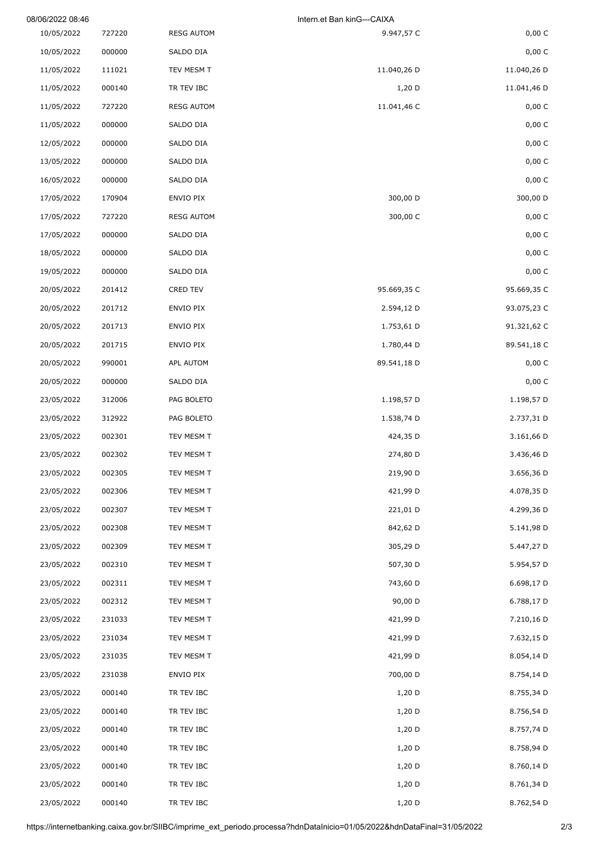| 08/06/2022 08:46 |        |                   | Intern.et Ban kinG---CAIXA |             |  |
|------------------|--------|-------------------|----------------------------|-------------|--|
| 10/05/2022       | 727220 | <b>RESG AUTOM</b> | 9.947,57 C                 | 0,00 C      |  |
| 10/05/2022       | 000000 | SALDO DIA         |                            | 0,00 C      |  |
| 11/05/2022       | 111021 | TEV MESM T        | 11.040,26 D                | 11.040,26 D |  |
| 11/05/2022       | 000140 | TR TEV IBC        | $1,20$ D                   | 11.041,46 D |  |
| 11/05/2022       | 727220 | <b>RESG AUTOM</b> | 11.041,46 C                | 0,00C       |  |
| 11/05/2022       | 000000 | SALDO DIA         |                            | 0,00 C      |  |
| 12/05/2022       | 000000 | SALDO DIA         |                            | 0,00 C      |  |
| 13/05/2022       | 000000 | SALDO DIA         |                            | 0,00 C      |  |
| 16/05/2022       | 000000 | SALDO DIA         |                            | 0,00C       |  |
| 17/05/2022       | 170904 | ENVIO PIX         | 300,00 D                   | 300,00 D    |  |
| 17/05/2022       | 727220 | <b>RESG AUTOM</b> | 300,00 C                   | 0,00 C      |  |
| 17/05/2022       | 000000 | SALDO DIA         |                            | 0,00 C      |  |
| 18/05/2022       | 000000 | SALDO DIA         |                            | 0,00 C      |  |
| 19/05/2022       | 000000 | SALDO DIA         |                            | 0,00 C      |  |
| 20/05/2022       | 201412 | <b>CRED TEV</b>   | 95.669,35 C                | 95.669,35 C |  |
| 20/05/2022       | 201712 | ENVIO PIX         | 2.594,12 D                 | 93.075,23 C |  |
| 20/05/2022       | 201713 | ENVIO PIX         | 1.753,61 D                 | 91.321,62 C |  |
| 20/05/2022       | 201715 | ENVIO PIX         | 1.780,44 D                 | 89.541,18 C |  |
| 20/05/2022       | 990001 | APL AUTOM         | 89.541,18 D                | 0,00 C      |  |
| 20/05/2022       | 000000 | SALDO DIA         |                            | 0,00 C      |  |
| 23/05/2022       | 312006 | PAG BOLETO        | 1.198,57 D                 | 1.198,57 D  |  |
| 23/05/2022       | 312922 | PAG BOLETO        | 1.538,74 D                 | 2.737,31 D  |  |
| 23/05/2022       | 002301 | TEV MESM T        | 424,35 D                   | 3.161,66 D  |  |
| 23/05/2022       | 002302 | TEV MESM T        | 274,80 D                   | 3.436,46 D  |  |
| 23/05/2022       | 002305 | TEV MESM T        | 219,90 D                   | 3.656,36 D  |  |
| 23/05/2022       | 002306 | TEV MESM T        | 421,99 D                   | 4.078,35 D  |  |
| 23/05/2022       | 002307 | TEV MESM T        | 221,01 D                   | 4.299,36 D  |  |
| 23/05/2022       | 002308 | TEV MESM T        | 842,62 D                   | 5.141,98 D  |  |
| 23/05/2022       | 002309 | TEV MESM T        | 305,29 D                   | 5.447,27 D  |  |
| 23/05/2022       | 002310 | TEV MESM T        | 507,30 D                   | 5.954,57 D  |  |
| 23/05/2022       | 002311 | TEV MESM T        | 743,60 D                   | 6.698,17 D  |  |
| 23/05/2022       | 002312 | TEV MESM T        | 90,00 D                    | 6.788,17 D  |  |
| 23/05/2022       | 231033 | TEV MESM T        | 421,99 D                   | 7.210,16 D  |  |
| 23/05/2022       | 231034 | TEV MESM T        | 421,99 D                   | 7.632,15 D  |  |
| 23/05/2022       | 231035 | TEV MESM T        | 421,99 D                   | 8.054,14 D  |  |
| 23/05/2022       | 231038 | ENVIO PIX         | 700,00 D                   | 8.754,14 D  |  |
| 23/05/2022       | 000140 | TR TEV IBC        | $1,20$ D                   | 8.755,34 D  |  |
| 23/05/2022       | 000140 | TR TEV IBC        | $1,20$ D                   | 8.756,54 D  |  |
| 23/05/2022       | 000140 | TR TEV IBC        | $1,20$ D                   | 8.757,74 D  |  |
| 23/05/2022       | 000140 | TR TEV IBC        | $1,20$ D                   | 8.758,94 D  |  |
| 23/05/2022       | 000140 | TR TEV IBC        | $1,20$ D                   | 8.760,14 D  |  |
| 23/05/2022       | 000140 | TR TEV IBC        | $1,20$ D                   | 8.761,34 D  |  |
| 23/05/2022       | 000140 | TR TEV IBC        | 1,20 D                     | 8.762,54 D  |  |
|                  |        |                   |                            |             |  |